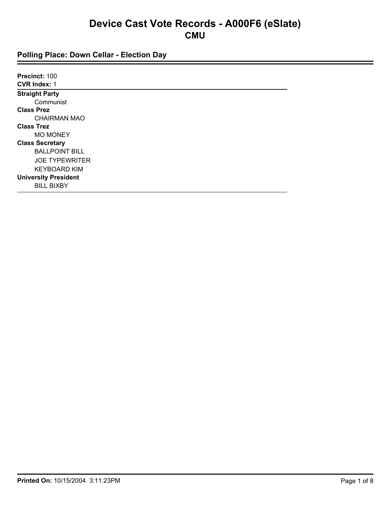| Precinct: 100               |  |
|-----------------------------|--|
| <b>CVR Index: 1</b>         |  |
| <b>Straight Party</b>       |  |
| Communist                   |  |
| <b>Class Prez</b>           |  |
| <b>CHAIRMAN MAO</b>         |  |
| <b>Class Trez</b>           |  |
| <b>MO MONEY</b>             |  |
| <b>Class Secretary</b>      |  |
| <b>BALLPOINT BILL</b>       |  |
| <b>JOE TYPEWRITER</b>       |  |
| <b>KEYBOARD KIM</b>         |  |
| <b>University President</b> |  |
| <b>BILL BIXBY</b>           |  |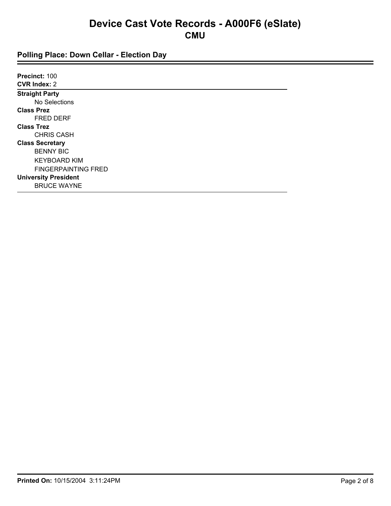| Precinct: 100               |  |
|-----------------------------|--|
| <b>CVR Index: 2</b>         |  |
| <b>Straight Party</b>       |  |
| No Selections               |  |
| <b>Class Prez</b>           |  |
| <b>FRED DERF</b>            |  |
| <b>Class Trez</b>           |  |
| <b>CHRIS CASH</b>           |  |
| <b>Class Secretary</b>      |  |
| <b>BENNY BIC</b>            |  |
| <b>KEYBOARD KIM</b>         |  |
| <b>FINGERPAINTING FRED</b>  |  |
| <b>University President</b> |  |
| <b>BRUCE WAYNE</b>          |  |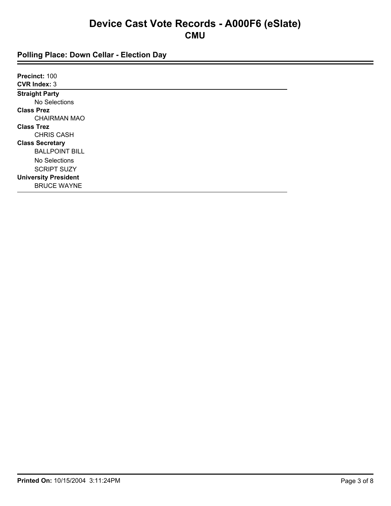| Precinct: 100               |  |
|-----------------------------|--|
| <b>CVR Index: 3</b>         |  |
| <b>Straight Party</b>       |  |
| No Selections               |  |
| <b>Class Prez</b>           |  |
| <b>CHAIRMAN MAO</b>         |  |
| <b>Class Trez</b>           |  |
| <b>CHRIS CASH</b>           |  |
| <b>Class Secretary</b>      |  |
| <b>BALLPOINT BILL</b>       |  |
| No Selections               |  |
| <b>SCRIPT SUZY</b>          |  |
| <b>University President</b> |  |
| <b>BRUCE WAYNE</b>          |  |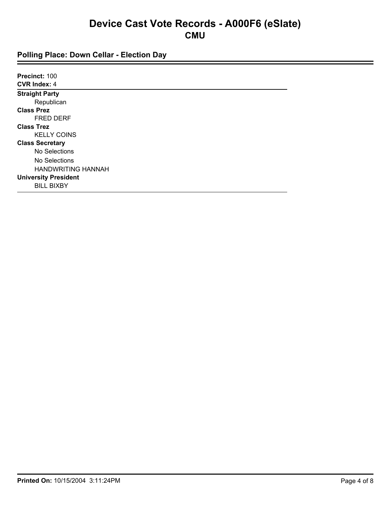| Precinct: 100               |  |
|-----------------------------|--|
| <b>CVR Index: 4</b>         |  |
| <b>Straight Party</b>       |  |
| Republican                  |  |
| <b>Class Prez</b>           |  |
| <b>FRED DERF</b>            |  |
| <b>Class Trez</b>           |  |
| <b>KELLY COINS</b>          |  |
| <b>Class Secretary</b>      |  |
| No Selections               |  |
| No Selections               |  |
| <b>HANDWRITING HANNAH</b>   |  |
| <b>University President</b> |  |
| <b>BILL BIXBY</b>           |  |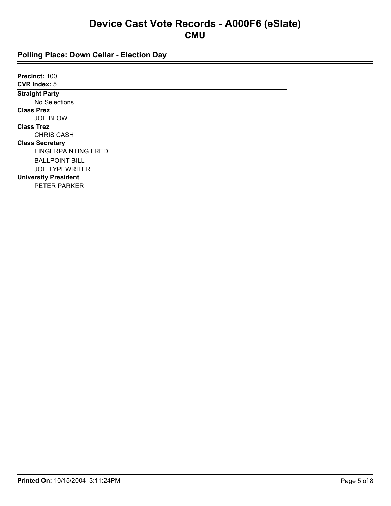| Precinct: 100               |  |
|-----------------------------|--|
| <b>CVR Index: 5</b>         |  |
| <b>Straight Party</b>       |  |
| No Selections               |  |
| <b>Class Prez</b>           |  |
| <b>JOE BLOW</b>             |  |
| <b>Class Trez</b>           |  |
| <b>CHRIS CASH</b>           |  |
| <b>Class Secretary</b>      |  |
| <b>FINGERPAINTING FRED</b>  |  |
| <b>BALLPOINT BILL</b>       |  |
| <b>JOE TYPEWRITER</b>       |  |
| <b>University President</b> |  |
| <b>PETER PARKER</b>         |  |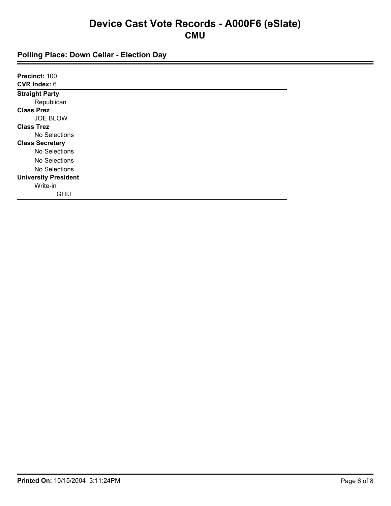| Precinct: 100               |  |
|-----------------------------|--|
| <b>CVR Index: 6</b>         |  |
| <b>Straight Party</b>       |  |
| Republican                  |  |
| <b>Class Prez</b>           |  |
| <b>JOE BLOW</b>             |  |
| <b>Class Trez</b>           |  |
| No Selections               |  |
| <b>Class Secretary</b>      |  |
| No Selections               |  |
| No Selections               |  |
| No Selections               |  |
| <b>University President</b> |  |
| Write-in                    |  |
| <b>GHIJ</b>                 |  |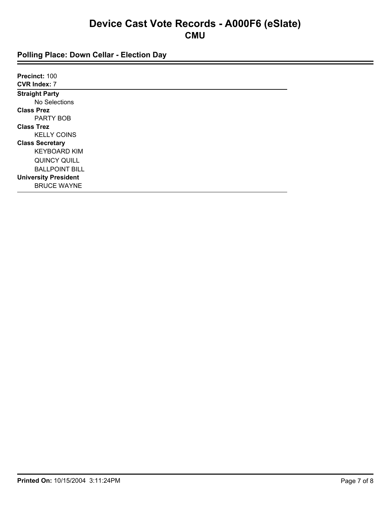| Precinct: 100               |  |  |
|-----------------------------|--|--|
| <b>CVR Index: 7</b>         |  |  |
| <b>Straight Party</b>       |  |  |
| No Selections               |  |  |
| <b>Class Prez</b>           |  |  |
| PARTY BOB                   |  |  |
| <b>Class Trez</b>           |  |  |
| <b>KELLY COINS</b>          |  |  |
| <b>Class Secretary</b>      |  |  |
| <b>KEYBOARD KIM</b>         |  |  |
| QUINCY QUILL                |  |  |
| <b>BALLPOINT BILL</b>       |  |  |
| <b>University President</b> |  |  |
| <b>BRUCE WAYNE</b>          |  |  |